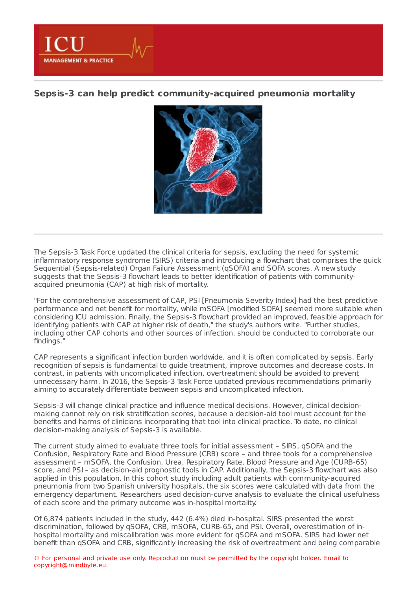**Sepsis-3 can help predict [community-acquired](https://healthmanagement.org/s/sepsis-3-can-help-predict-community-acquired-pneumonia-mortality) pneumonia mortality**

**MANAGEMENT & PRACTICE** 



The Sepsis-3 Task Force updated the clinical criteria for sepsis, excluding the need for systemic inflammatory response syndrome (SIRS) criteria and introducing a flowchart that comprises the quick Sequential (Sepsis-related) Organ Failure Assessment (qSOFA) and SOFA scores. A new study suggests that the Sepsis-3 flowchart leads to better identification of patients with communityacquired pneumonia (CAP) at high risk of mortality.

"For the comprehensive assessment of CAP, PSI [Pneumonia Severity Index] had the best predictive performance and net benefit for mortality, while mSOFA [modified SOFA] seemed more suitable when considering ICU admission. Finally, the Sepsis-3 flowchart provided an improved, feasible approach for identifying patients with CAP at higher risk of death," the study's authors write. "Further studies, including other CAP cohorts and other sources of infection, should be conducted to corroborate our findings."

CAP represents a significant infection burden worldwide, and it is often complicated by sepsis. Early recognition of sepsis is fundamental to guide treatment, improve outcomes and decrease costs. In contrast, in patients with uncomplicated infection, overtreatment should be avoided to prevent unnecessary harm. In 2016, the Sepsis-3 Task Force updated previous recommendations primarily aiming to accurately differentiate between sepsis and uncomplicated infection.

Sepsis-3 will change clinical practice and influence medical decisions. However, clinical decisionmaking cannot rely on risk stratification scores, because a decision-aid tool must account for the benefits and harms of clinicians incorporating that tool into clinical practice. To date, no clinical decision-making analysis of Sepsis-3 is available.

The current study aimed to evaluate three tools for initial assessment – SIRS, qSOFA and the Confusion, Respiratory Rate and Blood Pressure (CRB) score – and three tools for a comprehensive assessment – mSOFA, the Confusion, Urea, Respiratory Rate, Blood Pressure and Age (CURB-65) score, and PSI – as decision-aid prognostic tools in CAP. Additionally, the Sepsis-3 flowchart was also applied in this population. In this cohort study including adult patients with community-acquired pneumonia from two Spanish university hospitals, the six scores were calculated with data from the emergency department. Researchers used decision-curve analysis to evaluate the clinical usefulness of each score and the primary outcome was in-hospital mortality.

Of 6,874 patients included in the study, 442 (6.4%) died in-hospital. SIRS presented the worst discrimination, followed by qSOFA, CRB, mSOFA, CURB-65, and PSI. Overall, overestimation of inhospital mortality and miscalibration was more evident for qSOFA and mSOFA. SIRS had lower net benefit than qSOFA and CRB, significantly increasing the risk of overtreatment and being comparable

© For personal and private use only. Reproduction must be permitted by the copyright holder. Email to copyright@mindbyte.eu.